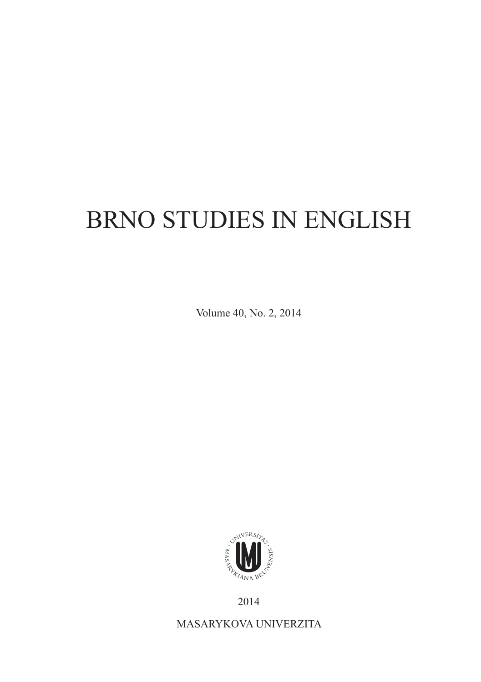## BRNO STUDIES IN ENGLISH

Volume 40, No. 2, 2014



2014

MASARYKOVA UNIVERZITA